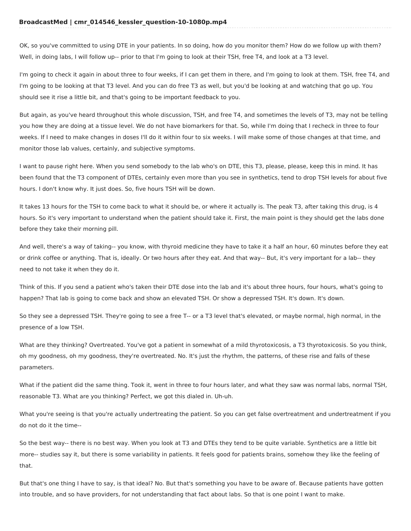OK, so you've committed to using DTE in your patients. In so doing, how do you monitor them? How do we follow up with them? Well, in doing labs, I will follow up-- prior to that I'm going to look at their TSH, free T4, and look at a T3 level.

I'm going to check it again in about three to four weeks, if I can get them in there, and I'm going to look at them. TSH, free T4, and I'm going to be looking at that T3 level. And you can do free T3 as well, but you'd be looking at and watching that go up. You should see it rise a little bit, and that's going to be important feedback to you.

But again, as you've heard throughout this whole discussion, TSH, and free T4, and sometimes the levels of T3, may not be telling you how they are doing at a tissue level. We do not have biomarkers for that. So, while I'm doing that I recheck in three to four weeks. If I need to make changes in doses I'll do it within four to six weeks. I will make some of those changes at that time, and monitor those lab values, certainly, and subjective symptoms.

I want to pause right here. When you send somebody to the lab who's on DTE, this T3, please, please, keep this in mind. It has been found that the T3 component of DTEs, certainly even more than you see in synthetics, tend to drop TSH levels for about five hours. I don't know why. It just does. So, five hours TSH will be down.

It takes 13 hours for the TSH to come back to what it should be, or where it actually is. The peak T3, after taking this drug, is 4 hours. So it's very important to understand when the patient should take it. First, the main point is they should get the labs done before they take their morning pill.

And well, there's a way of taking-- you know, with thyroid medicine they have to take it a half an hour, 60 minutes before they eat or drink coffee or anything. That is, ideally. Or two hours after they eat. And that way-- But, it's very important for a lab-- they need to not take it when they do it.

Think of this. If you send a patient who's taken their DTE dose into the lab and it's about three hours, four hours, what's going to happen? That lab is going to come back and show an elevated TSH. Or show a depressed TSH. It's down. It's down.

So they see a depressed TSH. They're going to see a free T-- or a T3 level that's elevated, or maybe normal, high normal, in the presence of a low TSH.

What are they thinking? Overtreated. You've got a patient in somewhat of a mild thyrotoxicosis, a T3 thyrotoxicosis. So you think, oh my goodness, oh my goodness, they're overtreated. No. It's just the rhythm, the patterns, of these rise and falls of these parameters.

What if the patient did the same thing. Took it, went in three to four hours later, and what they saw was normal labs, normal TSH, reasonable T3. What are you thinking? Perfect, we got this dialed in. Uh-uh.

What you're seeing is that you're actually undertreating the patient. So you can get false overtreatment and undertreatment if you do not do it the time--

So the best way-- there is no best way. When you look at T3 and DTEs they tend to be quite variable. Synthetics are a little bit more-- studies say it, but there is some variability in patients. It feels good for patients brains, somehow they like the feeling of that.

But that's one thing I have to say, is that ideal? No. But that's something you have to be aware of. Because patients have gotten into trouble, and so have providers, for not understanding that fact about labs. So that is one point I want to make.